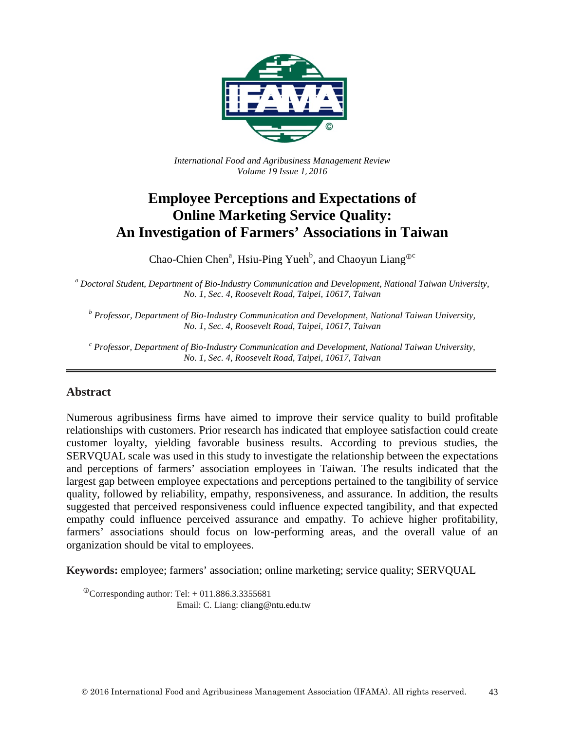

*International Food and Agribusiness Management Review Volume 19 Issue 1*, *2016*

# **Employee Perceptions and Expectations of Online Marketing Service Quality: An Investigation of Farmers' Associations in Taiwan**

Chao-Chien Chen<sup>a</sup>, Hsiu-Ping Yueh<sup>b</sup>, and Chaoyun Liang<sup>®c</sup>

*<sup>a</sup> Doctoral Student, Department of Bio-Industry Communication and Development, National Taiwan University, No. 1, Sec. 4, Roosevelt Road, Taipei, 10617, Taiwan*

*<sup>b</sup> Professor, Department of Bio-Industry Communication and Development, National Taiwan University, No. 1, Sec. 4, Roosevelt Road, Taipei, 10617, Taiwan*

*<sup>c</sup> Professor, Department of Bio-Industry Communication and Development, National Taiwan University, No. 1, Sec. 4, Roosevelt Road, Taipei, 10617, Taiwan*

#### **Abstract**

Numerous agribusiness firms have aimed to improve their service quality to build profitable relationships with customers. Prior research has indicated that employee satisfaction could create customer loyalty, yielding favorable business results. According to previous studies, the SERVQUAL scale was used in this study to investigate the relationship between the expectations and perceptions of farmers' association employees in Taiwan. The results indicated that the largest gap between employee expectations and perceptions pertained to the tangibility of service quality, followed by reliability, empathy, responsiveness, and assurance. In addition, the results suggested that perceived responsiveness could influence expected tangibility, and that expected empathy could influence perceived assurance and empathy. To achieve higher profitability, farmers' associations should focus on low-performing areas, and the overall value of an organization should be vital to employees.

**Keywords:** employee; farmers' association; online marketing; service quality; SERVQUAL

 $^{\circ}$ Corresponding author: Tel: + 011.886.3.3355681 Email: C. Liang: cliang@ntu.edu.tw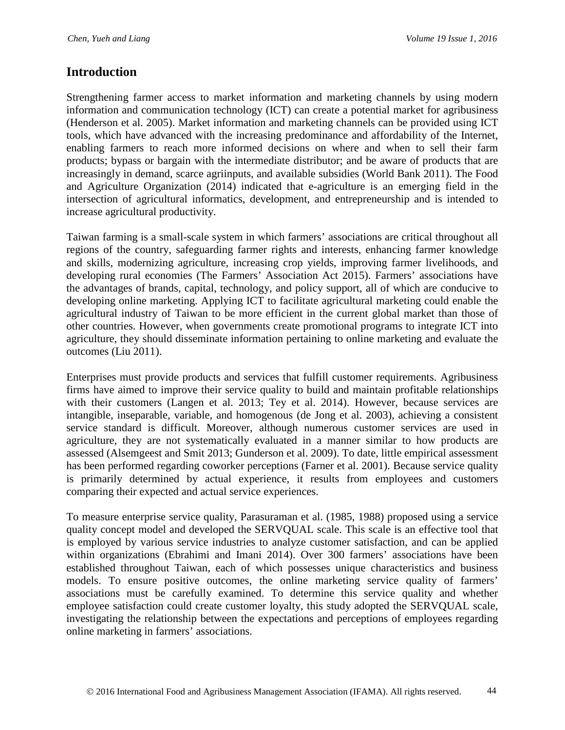### **Introduction**

Strengthening farmer access to market information and marketing channels by using modern information and communication technology (ICT) can create a potential market for agribusiness (Henderson et al. 2005). Market information and marketing channels can be provided using ICT tools, which have advanced with the increasing predominance and affordability of the Internet, enabling farmers to reach more informed decisions on where and when to sell their farm products; bypass or bargain with the intermediate distributor; and be aware of products that are increasingly in demand, scarce agriinputs, and available subsidies (World Bank 2011). The Food and Agriculture Organization (2014) indicated that e-agriculture is an emerging field in the intersection of agricultural informatics, development, and entrepreneurship and is intended to increase agricultural productivity.

Taiwan farming is a small-scale system in which farmers' associations are critical throughout all regions of the country, safeguarding farmer rights and interests, enhancing farmer knowledge and skills, modernizing agriculture, increasing crop yields, improving farmer livelihoods, and developing rural economies (The Farmers' Association Act 2015). Farmers' associations have the advantages of brands, capital, technology, and policy support, all of which are conducive to developing online marketing. Applying ICT to facilitate agricultural marketing could enable the agricultural industry of Taiwan to be more efficient in the current global market than those of other countries. However, when governments create promotional programs to integrate ICT into agriculture, they should disseminate information pertaining to online marketing and evaluate the outcomes (Liu 2011).

Enterprises must provide products and services that fulfill customer requirements. Agribusiness firms have aimed to improve their service quality to build and maintain profitable relationships with their customers (Langen et al. 2013; Tey et al. 2014). However, because services are intangible, inseparable, variable, and homogenous (de Jong et al. 2003), achieving a consistent service standard is difficult. Moreover, although numerous customer services are used in agriculture, they are not systematically evaluated in a manner similar to how products are assessed (Alsemgeest and Smit 2013; Gunderson et al. 2009). To date, little empirical assessment has been performed regarding coworker perceptions (Farner et al. 2001). Because service quality is primarily determined by actual experience, it results from employees and customers comparing their expected and actual service experiences.

To measure enterprise service quality, Parasuraman et al. (1985, 1988) proposed using a service quality concept model and developed the SERVQUAL scale. This scale is an effective tool that is employed by various service industries to analyze customer satisfaction, and can be applied within organizations (Ebrahimi and Imani 2014). Over 300 farmers' associations have been established throughout Taiwan, each of which possesses unique characteristics and business models. To ensure positive outcomes, the online marketing service quality of farmers' associations must be carefully examined. To determine this service quality and whether employee satisfaction could create customer loyalty, this study adopted the SERVQUAL scale, investigating the relationship between the expectations and perceptions of employees regarding online marketing in farmers' associations.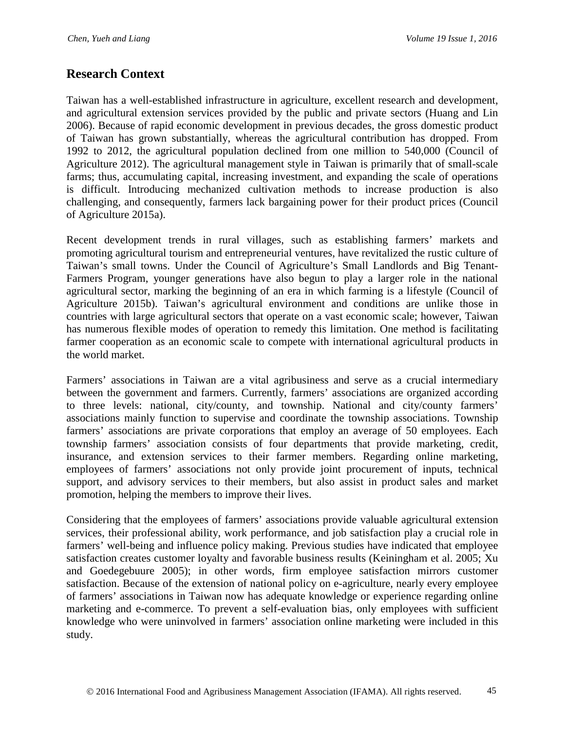## **Research Context**

Taiwan has a well-established infrastructure in agriculture, excellent research and development, and agricultural extension services provided by the public and private sectors (Huang and Lin 2006). Because of rapid economic development in previous decades, the gross domestic product of Taiwan has grown substantially, whereas the agricultural contribution has dropped. From 1992 to 2012, the agricultural population declined from one million to 540,000 (Council of Agriculture 2012). The agricultural management style in Taiwan is primarily that of small-scale farms; thus, accumulating capital, increasing investment, and expanding the scale of operations is difficult. Introducing mechanized cultivation methods to increase production is also challenging, and consequently, farmers lack bargaining power for their product prices (Council of Agriculture 2015a).

Recent development trends in rural villages, such as establishing farmers' markets and promoting agricultural tourism and entrepreneurial ventures, have revitalized the rustic culture of Taiwan's small towns. Under the Council of Agriculture's Small Landlords and Big Tenant-Farmers Program, younger generations have also begun to play a larger role in the national agricultural sector, marking the beginning of an era in which farming is a lifestyle (Council of Agriculture 2015b). Taiwan's agricultural environment and conditions are unlike those in countries with large agricultural sectors that operate on a vast economic scale; however, Taiwan has numerous flexible modes of operation to remedy this limitation. One method is facilitating farmer cooperation as an economic scale to compete with international agricultural products in the world market.

Farmers' associations in Taiwan are a vital agribusiness and serve as a crucial intermediary between the government and farmers. Currently, farmers' associations are organized according to three levels: national, city/county, and township. National and city/county farmers' associations mainly function to supervise and coordinate the township associations. Township farmers' associations are private corporations that employ an average of 50 employees. Each township farmers' association consists of four departments that provide marketing, credit, insurance, and extension services to their farmer members. Regarding online marketing, employees of farmers' associations not only provide joint procurement of inputs, technical support, and advisory services to their members, but also assist in product sales and market promotion, helping the members to improve their lives.

Considering that the employees of farmers' associations provide valuable agricultural extension services, their professional ability, work performance, and job satisfaction play a crucial role in farmers' well-being and influence policy making. Previous studies have indicated that employee satisfaction creates customer loyalty and favorable business results (Keiningham et al. 2005; Xu and Goedegebuure 2005); in other words, firm employee satisfaction mirrors customer satisfaction. Because of the extension of national policy on e-agriculture, nearly every employee of farmers' associations in Taiwan now has adequate knowledge or experience regarding online marketing and e-commerce. To prevent a self-evaluation bias, only employees with sufficient knowledge who were uninvolved in farmers' association online marketing were included in this study.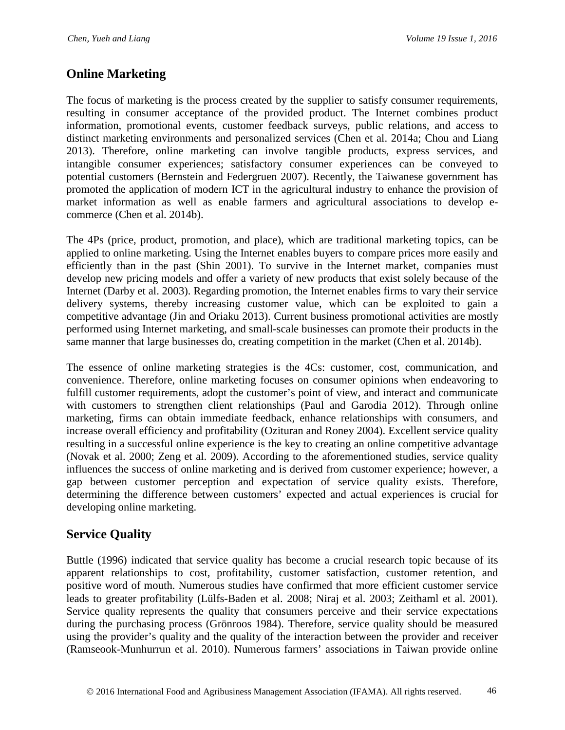# **Online Marketing**

The focus of marketing is the process created by the supplier to satisfy consumer requirements, resulting in consumer acceptance of the provided product. The Internet combines product information, promotional events, customer feedback surveys, public relations, and access to distinct marketing environments and personalized services (Chen et al. 2014a; Chou and Liang 2013). Therefore, online marketing can involve tangible products, express services, and intangible consumer experiences; satisfactory consumer experiences can be conveyed to potential customers (Bernstein and Federgruen 2007). Recently, the Taiwanese government has promoted the application of modern ICT in the agricultural industry to enhance the provision of market information as well as enable farmers and agricultural associations to develop ecommerce (Chen et al. 2014b).

The 4Ps (price, product, promotion, and place), which are traditional marketing topics, can be applied to online marketing. Using the Internet enables buyers to compare prices more easily and efficiently than in the past (Shin 2001). To survive in the Internet market, companies must develop new pricing models and offer a variety of new products that exist solely because of the Internet (Darby et al. 2003). Regarding promotion, the Internet enables firms to vary their service delivery systems, thereby increasing customer value, which can be exploited to gain a competitive advantage (Jin and Oriaku 2013). Current business promotional activities are mostly performed using Internet marketing, and small-scale businesses can promote their products in the same manner that large businesses do, creating competition in the market (Chen et al. 2014b).

The essence of online marketing strategies is the 4Cs: customer, cost, communication, and convenience. Therefore, online marketing focuses on consumer opinions when endeavoring to fulfill customer requirements, adopt the customer's point of view, and interact and communicate with customers to strengthen client relationships (Paul and Garodia 2012). Through online marketing, firms can obtain immediate feedback, enhance relationships with consumers, and increase overall efficiency and profitability (Ozituran and Roney 2004). Excellent service quality resulting in a successful online experience is the key to creating an online competitive advantage (Novak et al. 2000; Zeng et al. 2009). According to the aforementioned studies, service quality influences the success of online marketing and is derived from customer experience; however, a gap between customer perception and expectation of service quality exists. Therefore, determining the difference between customers' expected and actual experiences is crucial for developing online marketing.

# **Service Quality**

Buttle (1996) indicated that service quality has become a crucial research topic because of its apparent relationships to cost, profitability, customer satisfaction, customer retention, and positive word of mouth. Numerous studies have confirmed that more efficient customer service leads to greater profitability (Lülfs-Baden et al. 2008; Niraj et al. 2003; Zeithaml et al. 2001). Service quality represents the quality that consumers perceive and their service expectations during the purchasing process (Grönroos 1984). Therefore, service quality should be measured using the provider's quality and the quality of the interaction between the provider and receiver (Ramseook-Munhurrun et al. 2010). Numerous farmers' associations in Taiwan provide online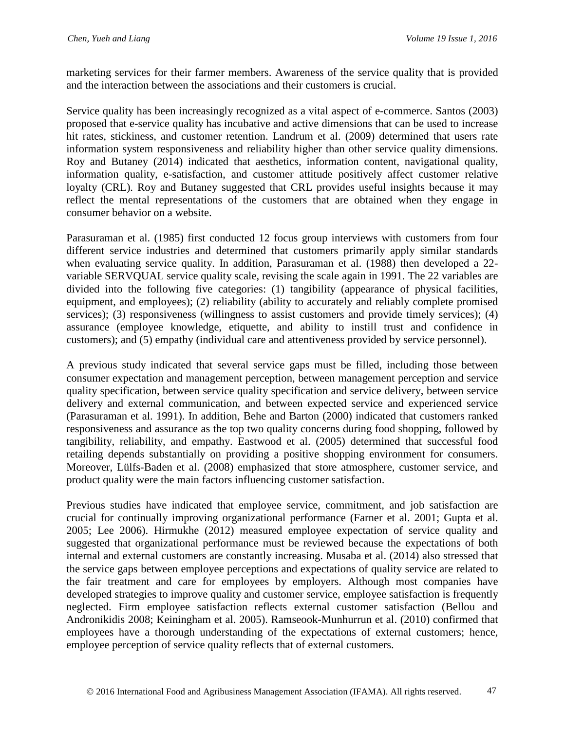marketing services for their farmer members. Awareness of the service quality that is provided and the interaction between the associations and their customers is crucial.

Service quality has been increasingly recognized as a vital aspect of e-commerce. Santos (2003) proposed that e-service quality has incubative and active dimensions that can be used to increase hit rates, stickiness, and customer retention. Landrum et al. (2009) determined that users rate information system responsiveness and reliability higher than other service quality dimensions. Roy and Butaney (2014) indicated that aesthetics, information content, navigational quality, information quality, e-satisfaction, and customer attitude positively affect customer relative loyalty (CRL). Roy and Butaney suggested that CRL provides useful insights because it may reflect the mental representations of the customers that are obtained when they engage in consumer behavior on a website.

Parasuraman et al. (1985) first conducted 12 focus group interviews with customers from four different service industries and determined that customers primarily apply similar standards when evaluating service quality. In addition, Parasuraman et al. (1988) then developed a 22 variable SERVQUAL service quality scale, revising the scale again in 1991. The 22 variables are divided into the following five categories: (1) tangibility (appearance of physical facilities, equipment, and employees); (2) reliability (ability to accurately and reliably complete promised services); (3) responsiveness (willingness to assist customers and provide timely services); (4) assurance (employee knowledge, etiquette, and ability to instill trust and confidence in customers); and (5) empathy (individual care and attentiveness provided by service personnel).

A previous study indicated that several service gaps must be filled, including those between consumer expectation and management perception, between management perception and service quality specification, between service quality specification and service delivery, between service delivery and external communication, and between expected service and experienced service (Parasuraman et al. 1991). In addition, Behe and Barton (2000) indicated that customers ranked responsiveness and assurance as the top two quality concerns during food shopping, followed by tangibility, reliability, and empathy. Eastwood et al. (2005) determined that successful food retailing depends substantially on providing a positive shopping environment for consumers. Moreover, Lülfs-Baden et al. (2008) emphasized that store atmosphere, customer service, and product quality were the main factors influencing customer satisfaction.

Previous studies have indicated that employee service, commitment, and job satisfaction are crucial for continually improving organizational performance (Farner et al. 2001; Gupta et al. 2005; Lee 2006). Hirmukhe (2012) measured employee expectation of service quality and suggested that organizational performance must be reviewed because the expectations of both internal and external customers are constantly increasing. Musaba et al. (2014) also stressed that the service gaps between employee perceptions and expectations of quality service are related to the fair treatment and care for employees by employers. Although most companies have developed strategies to improve quality and customer service, employee satisfaction is frequently neglected. Firm employee satisfaction reflects external customer satisfaction (Bellou and Andronikidis 2008; Keiningham et al. 2005). Ramseook-Munhurrun et al. (2010) confirmed that employees have a thorough understanding of the expectations of external customers; hence, employee perception of service quality reflects that of external customers.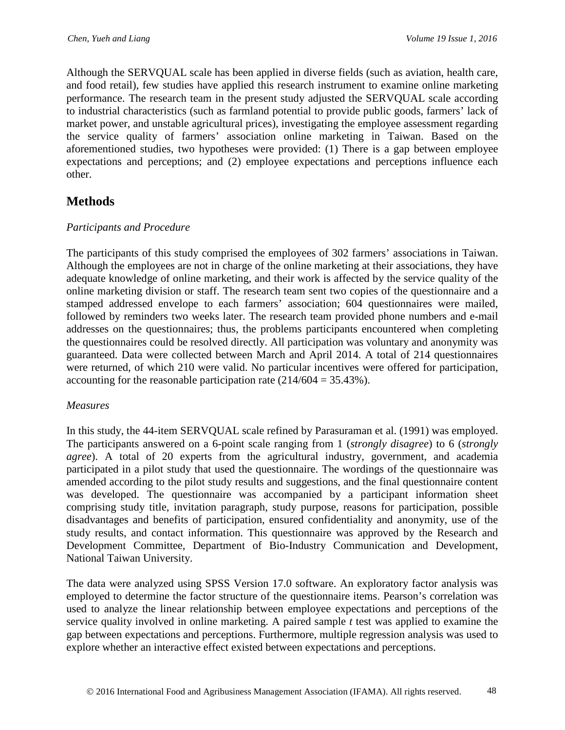Although the SERVQUAL scale has been applied in diverse fields (such as aviation, health care, and food retail), few studies have applied this research instrument to examine online marketing performance. The research team in the present study adjusted the SERVQUAL scale according to industrial characteristics (such as farmland potential to provide public goods, farmers' lack of market power, and unstable agricultural prices), investigating the employee assessment regarding the service quality of farmers' association online marketing in Taiwan. Based on the aforementioned studies, two hypotheses were provided: (1) There is a gap between employee expectations and perceptions; and (2) employee expectations and perceptions influence each other.

# **Methods**

### *Participants and Procedure*

The participants of this study comprised the employees of 302 farmers' associations in Taiwan. Although the employees are not in charge of the online marketing at their associations, they have adequate knowledge of online marketing, and their work is affected by the service quality of the online marketing division or staff. The research team sent two copies of the questionnaire and a stamped addressed envelope to each farmers' association; 604 questionnaires were mailed, followed by reminders two weeks later. The research team provided phone numbers and e-mail addresses on the questionnaires; thus, the problems participants encountered when completing the questionnaires could be resolved directly. All participation was voluntary and anonymity was guaranteed. Data were collected between March and April 2014. A total of 214 questionnaires were returned, of which 210 were valid. No particular incentives were offered for participation, accounting for the reasonable participation rate  $(214/604 = 35.43\%)$ .

#### *Measures*

In this study, the 44-item SERVQUAL scale refined by Parasuraman et al. (1991) was employed. The participants answered on a 6-point scale ranging from 1 (*strongly disagree*) to 6 (*strongly agree*). A total of 20 experts from the agricultural industry, government, and academia participated in a pilot study that used the questionnaire. The wordings of the questionnaire was amended according to the pilot study results and suggestions, and the final questionnaire content was developed. The questionnaire was accompanied by a participant information sheet comprising study title, invitation paragraph, study purpose, reasons for participation, possible disadvantages and benefits of participation, ensured confidentiality and anonymity, use of the study results, and contact information. This questionnaire was approved by the Research and Development Committee, Department of Bio-Industry Communication and Development, National Taiwan University.

The data were analyzed using SPSS Version 17.0 software. An exploratory factor analysis was employed to determine the factor structure of the questionnaire items. Pearson's correlation was used to analyze the linear relationship between employee expectations and perceptions of the service quality involved in online marketing. A paired sample *t* test was applied to examine the gap between expectations and perceptions. Furthermore, multiple regression analysis was used to explore whether an interactive effect existed between expectations and perceptions.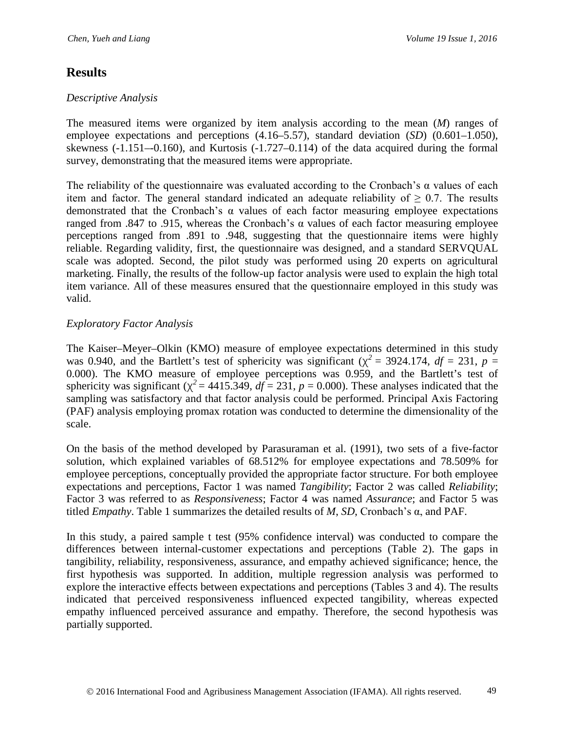# **Results**

### *Descriptive Analysis*

The measured items were organized by item analysis according to the mean (*M*) ranges of employee expectations and perceptions (4.16–5.57), standard deviation (*SD*) (0.601–1.050), skewness (-1.151–-0.160), and Kurtosis (-1.727–0.114) of the data acquired during the formal survey, demonstrating that the measured items were appropriate.

The reliability of the questionnaire was evaluated according to the Cronbach's  $\alpha$  values of each item and factor. The general standard indicated an adequate reliability of  $\geq 0.7$ . The results demonstrated that the Cronbach's  $\alpha$  values of each factor measuring employee expectations ranged from .847 to .915, whereas the Cronbach's α values of each factor measuring employee perceptions ranged from .891 to .948, suggesting that the questionnaire items were highly reliable. Regarding validity, first, the questionnaire was designed, and a standard SERVQUAL scale was adopted. Second, the pilot study was performed using 20 experts on agricultural marketing. Finally, the results of the follow-up factor analysis were used to explain the high total item variance. All of these measures ensured that the questionnaire employed in this study was valid.

### *Exploratory Factor Analysis*

The Kaiser–Meyer–Olkin (KMO) measure of employee expectations determined in this study was 0.940, and the Bartlett's test of sphericity was significant ( $\chi^2$  = 3924.174, *df* = 231, *p* = 0.000). The KMO measure of employee perceptions was 0.959, and the Bartlett's test of sphericity was significant ( $\chi^2$  = 4415.349, *df* = 231, *p* = 0.000). These analyses indicated that the sampling was satisfactory and that factor analysis could be performed. Principal Axis Factoring (PAF) analysis employing promax rotation was conducted to determine the dimensionality of the scale.

On the basis of the method developed by Parasuraman et al. (1991), two sets of a five-factor solution, which explained variables of 68.512% for employee expectations and 78.509% for employee perceptions, conceptually provided the appropriate factor structure. For both employee expectations and perceptions, Factor 1 was named *Tangibility*; Factor 2 was called *Reliability*; Factor 3 was referred to as *Responsiveness*; Factor 4 was named *Assurance*; and Factor 5 was titled *Empathy*. Table 1 summarizes the detailed results of *M*, *SD*, Cronbach's α, and PAF.

In this study, a paired sample t test (95% confidence interval) was conducted to compare the differences between internal-customer expectations and perceptions (Table 2). The gaps in tangibility, reliability, responsiveness, assurance, and empathy achieved significance; hence, the first hypothesis was supported. In addition, multiple regression analysis was performed to explore the interactive effects between expectations and perceptions (Tables 3 and 4). The results indicated that perceived responsiveness influenced expected tangibility, whereas expected empathy influenced perceived assurance and empathy. Therefore, the second hypothesis was partially supported.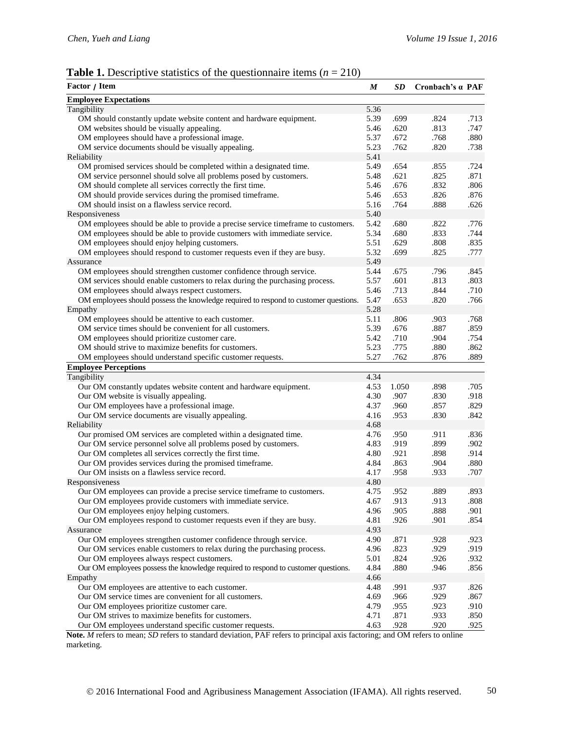### **Table 1.** Descriptive statistics of the questionnaire items  $(n = 210)$

| <b>Employee Expectations</b><br>Tangibility<br>5.36<br>OM should constantly update website content and hardware equipment.<br>5.39<br>.699<br>.824<br>.713<br>OM websites should be visually appealing.<br>5.46<br>.620<br>.813<br>.747<br>OM employees should have a professional image.<br>5.37<br>.672<br>.768<br>.880<br>OM service documents should be visually appealing.<br>5.23<br>.762<br>.820<br>.738<br>5.41<br>Reliability<br>OM promised services should be completed within a designated time.<br>5.49<br>.654<br>.855<br>.724<br>OM service personnel should solve all problems posed by customers.<br>.621<br>.825<br>.871<br>5.48<br>OM should complete all services correctly the first time.<br>.676<br>.832<br>.806<br>5.46<br>OM should provide services during the promised timeframe.<br>.653<br>.826<br>.876<br>5.46<br>OM should insist on a flawless service record.<br>5.16<br>.764<br>.888<br>.626<br>5.40<br>Responsiveness<br>OM employees should be able to provide a precise service timeframe to customers.<br>5.42<br>.680<br>.822<br>.776<br>.833<br>OM employees should be able to provide customers with immediate service.<br>5.34<br>.680<br>.744<br>OM employees should enjoy helping customers.<br>5.51<br>.629<br>.808<br>.835<br>OM employees should respond to customer requests even if they are busy.<br>5.32<br>.699<br>.825<br>.777<br>Assurance<br>5.49<br>OM employees should strengthen customer confidence through service.<br>5.44<br>.796<br>.675<br>.845<br>OM services should enable customers to relax during the purchasing process.<br>5.57<br>.601<br>.813<br>.803<br>OM employees should always respect customers.<br>5.46<br>.713<br>.844<br>.710<br>.653<br>.820<br>OM employees should possess the knowledge required to respond to customer questions.<br>5.47<br>.766<br>5.28<br>Empathy<br>5.11<br>OM employees should be attentive to each customer.<br>.806<br>.903<br>.768<br>OM service times should be convenient for all customers.<br>5.39<br>.676<br>.887<br>.859<br>5.42<br>.710<br>.904<br>.754<br>OM employees should prioritize customer care.<br>5.23<br>.775<br>OM should strive to maximize benefits for customers.<br>.880<br>.862<br>5.27<br>.762<br>OM employees should understand specific customer requests.<br>.876<br>.889<br><b>Employee Perceptions</b><br>4.34<br>Our OM constantly updates website content and hardware equipment.<br>4.53<br>.898<br>.705<br>1.050<br>Our OM website is visually appealing.<br>4.30<br>.907<br>.830<br>.918<br>Our OM employees have a professional image.<br>.960<br>.857<br>.829<br>4.37<br>Our OM service documents are visually appealing.<br>4.16<br>.953<br>.830<br>.842<br>4.68<br>Our promised OM services are completed within a designated time.<br>.950<br>4.76<br>.911<br>.836<br>.899<br>Our OM service personnel solve all problems posed by customers.<br>4.83<br>.919<br>.902<br>Our OM completes all services correctly the first time.<br>4.80<br>.921<br>.898<br>.914<br>.863<br>Our OM provides services during the promised timeframe.<br>4.84<br>.904<br>.880<br>Our OM insists on a flawless service record.<br>.958<br>.933<br>.707<br>4.17<br>4.80<br>Responsiveness<br>.952<br>.889<br>.893<br>Our OM employees can provide a precise service timeframe to customers.<br>4.75<br>Our OM employees provide customers with immediate service.<br>.913<br>.913<br>.808<br>4.67<br>Our OM employees enjoy helping customers.<br>.905<br>.888<br>4.96<br>.901<br>.926<br>Our OM employees respond to customer requests even if they are busy.<br>4.81<br>.901<br>.854<br>4.93<br>Assurance<br>Our OM employees strengthen customer confidence through service.<br>.871<br>4.90<br>.928<br>.923<br>.823<br>.929<br>Our OM services enable customers to relax during the purchasing process.<br>4.96<br>.919<br>5.01<br>.824<br>.926<br>Our OM employees always respect customers.<br>.932<br>Our OM employees possess the knowledge required to respond to customer questions.<br>.880<br>4.84<br>.946<br>.856<br>4.66<br>Empathy<br>Our OM employees are attentive to each customer.<br>.991<br>4.48<br>.937<br>$.826\,$<br>.966<br>.929<br>Our OM service times are convenient for all customers.<br>4.69<br>.867<br>.955<br>Our OM employees prioritize customer care.<br>4.79<br>.923<br>.910<br>Our OM strives to maximize benefits for customers.<br>.871<br>.933<br>4.71<br>.850 | Factor / Item                                           | M    | SD   | Cronbach's a PAF |      |
|-------------------------------------------------------------------------------------------------------------------------------------------------------------------------------------------------------------------------------------------------------------------------------------------------------------------------------------------------------------------------------------------------------------------------------------------------------------------------------------------------------------------------------------------------------------------------------------------------------------------------------------------------------------------------------------------------------------------------------------------------------------------------------------------------------------------------------------------------------------------------------------------------------------------------------------------------------------------------------------------------------------------------------------------------------------------------------------------------------------------------------------------------------------------------------------------------------------------------------------------------------------------------------------------------------------------------------------------------------------------------------------------------------------------------------------------------------------------------------------------------------------------------------------------------------------------------------------------------------------------------------------------------------------------------------------------------------------------------------------------------------------------------------------------------------------------------------------------------------------------------------------------------------------------------------------------------------------------------------------------------------------------------------------------------------------------------------------------------------------------------------------------------------------------------------------------------------------------------------------------------------------------------------------------------------------------------------------------------------------------------------------------------------------------------------------------------------------------------------------------------------------------------------------------------------------------------------------------------------------------------------------------------------------------------------------------------------------------------------------------------------------------------------------------------------------------------------------------------------------------------------------------------------------------------------------------------------------------------------------------------------------------------------------------------------------------------------------------------------------------------------------------------------------------------------------------------------------------------------------------------------------------------------------------------------------------------------------------------------------------------------------------------------------------------------------------------------------------------------------------------------------------------------------------------------------------------------------------------------------------------------------------------------------------------------------------------------------------------------------------------------------------------------------------------------------------------------------------------------------------------------------------------------------------------------------------------------------------------------------------------------------------------------------------------------------------------------------------------------------------------------------------------------------------------------------------------------------------------------------------------------------------------------------------------------------------------------------------------------------------------------------------------------------------------------------------|---------------------------------------------------------|------|------|------------------|------|
|                                                                                                                                                                                                                                                                                                                                                                                                                                                                                                                                                                                                                                                                                                                                                                                                                                                                                                                                                                                                                                                                                                                                                                                                                                                                                                                                                                                                                                                                                                                                                                                                                                                                                                                                                                                                                                                                                                                                                                                                                                                                                                                                                                                                                                                                                                                                                                                                                                                                                                                                                                                                                                                                                                                                                                                                                                                                                                                                                                                                                                                                                                                                                                                                                                                                                                                                                                                                                                                                                                                                                                                                                                                                                                                                                                                                                                                                                                                                                                                                                                                                                                                                                                                                                                                                                                                                                                                                                                           |                                                         |      |      |                  |      |
|                                                                                                                                                                                                                                                                                                                                                                                                                                                                                                                                                                                                                                                                                                                                                                                                                                                                                                                                                                                                                                                                                                                                                                                                                                                                                                                                                                                                                                                                                                                                                                                                                                                                                                                                                                                                                                                                                                                                                                                                                                                                                                                                                                                                                                                                                                                                                                                                                                                                                                                                                                                                                                                                                                                                                                                                                                                                                                                                                                                                                                                                                                                                                                                                                                                                                                                                                                                                                                                                                                                                                                                                                                                                                                                                                                                                                                                                                                                                                                                                                                                                                                                                                                                                                                                                                                                                                                                                                                           |                                                         |      |      |                  |      |
|                                                                                                                                                                                                                                                                                                                                                                                                                                                                                                                                                                                                                                                                                                                                                                                                                                                                                                                                                                                                                                                                                                                                                                                                                                                                                                                                                                                                                                                                                                                                                                                                                                                                                                                                                                                                                                                                                                                                                                                                                                                                                                                                                                                                                                                                                                                                                                                                                                                                                                                                                                                                                                                                                                                                                                                                                                                                                                                                                                                                                                                                                                                                                                                                                                                                                                                                                                                                                                                                                                                                                                                                                                                                                                                                                                                                                                                                                                                                                                                                                                                                                                                                                                                                                                                                                                                                                                                                                                           |                                                         |      |      |                  |      |
|                                                                                                                                                                                                                                                                                                                                                                                                                                                                                                                                                                                                                                                                                                                                                                                                                                                                                                                                                                                                                                                                                                                                                                                                                                                                                                                                                                                                                                                                                                                                                                                                                                                                                                                                                                                                                                                                                                                                                                                                                                                                                                                                                                                                                                                                                                                                                                                                                                                                                                                                                                                                                                                                                                                                                                                                                                                                                                                                                                                                                                                                                                                                                                                                                                                                                                                                                                                                                                                                                                                                                                                                                                                                                                                                                                                                                                                                                                                                                                                                                                                                                                                                                                                                                                                                                                                                                                                                                                           |                                                         |      |      |                  |      |
|                                                                                                                                                                                                                                                                                                                                                                                                                                                                                                                                                                                                                                                                                                                                                                                                                                                                                                                                                                                                                                                                                                                                                                                                                                                                                                                                                                                                                                                                                                                                                                                                                                                                                                                                                                                                                                                                                                                                                                                                                                                                                                                                                                                                                                                                                                                                                                                                                                                                                                                                                                                                                                                                                                                                                                                                                                                                                                                                                                                                                                                                                                                                                                                                                                                                                                                                                                                                                                                                                                                                                                                                                                                                                                                                                                                                                                                                                                                                                                                                                                                                                                                                                                                                                                                                                                                                                                                                                                           |                                                         |      |      |                  |      |
|                                                                                                                                                                                                                                                                                                                                                                                                                                                                                                                                                                                                                                                                                                                                                                                                                                                                                                                                                                                                                                                                                                                                                                                                                                                                                                                                                                                                                                                                                                                                                                                                                                                                                                                                                                                                                                                                                                                                                                                                                                                                                                                                                                                                                                                                                                                                                                                                                                                                                                                                                                                                                                                                                                                                                                                                                                                                                                                                                                                                                                                                                                                                                                                                                                                                                                                                                                                                                                                                                                                                                                                                                                                                                                                                                                                                                                                                                                                                                                                                                                                                                                                                                                                                                                                                                                                                                                                                                                           |                                                         |      |      |                  |      |
|                                                                                                                                                                                                                                                                                                                                                                                                                                                                                                                                                                                                                                                                                                                                                                                                                                                                                                                                                                                                                                                                                                                                                                                                                                                                                                                                                                                                                                                                                                                                                                                                                                                                                                                                                                                                                                                                                                                                                                                                                                                                                                                                                                                                                                                                                                                                                                                                                                                                                                                                                                                                                                                                                                                                                                                                                                                                                                                                                                                                                                                                                                                                                                                                                                                                                                                                                                                                                                                                                                                                                                                                                                                                                                                                                                                                                                                                                                                                                                                                                                                                                                                                                                                                                                                                                                                                                                                                                                           |                                                         |      |      |                  |      |
|                                                                                                                                                                                                                                                                                                                                                                                                                                                                                                                                                                                                                                                                                                                                                                                                                                                                                                                                                                                                                                                                                                                                                                                                                                                                                                                                                                                                                                                                                                                                                                                                                                                                                                                                                                                                                                                                                                                                                                                                                                                                                                                                                                                                                                                                                                                                                                                                                                                                                                                                                                                                                                                                                                                                                                                                                                                                                                                                                                                                                                                                                                                                                                                                                                                                                                                                                                                                                                                                                                                                                                                                                                                                                                                                                                                                                                                                                                                                                                                                                                                                                                                                                                                                                                                                                                                                                                                                                                           |                                                         |      |      |                  |      |
|                                                                                                                                                                                                                                                                                                                                                                                                                                                                                                                                                                                                                                                                                                                                                                                                                                                                                                                                                                                                                                                                                                                                                                                                                                                                                                                                                                                                                                                                                                                                                                                                                                                                                                                                                                                                                                                                                                                                                                                                                                                                                                                                                                                                                                                                                                                                                                                                                                                                                                                                                                                                                                                                                                                                                                                                                                                                                                                                                                                                                                                                                                                                                                                                                                                                                                                                                                                                                                                                                                                                                                                                                                                                                                                                                                                                                                                                                                                                                                                                                                                                                                                                                                                                                                                                                                                                                                                                                                           |                                                         |      |      |                  |      |
|                                                                                                                                                                                                                                                                                                                                                                                                                                                                                                                                                                                                                                                                                                                                                                                                                                                                                                                                                                                                                                                                                                                                                                                                                                                                                                                                                                                                                                                                                                                                                                                                                                                                                                                                                                                                                                                                                                                                                                                                                                                                                                                                                                                                                                                                                                                                                                                                                                                                                                                                                                                                                                                                                                                                                                                                                                                                                                                                                                                                                                                                                                                                                                                                                                                                                                                                                                                                                                                                                                                                                                                                                                                                                                                                                                                                                                                                                                                                                                                                                                                                                                                                                                                                                                                                                                                                                                                                                                           |                                                         |      |      |                  |      |
|                                                                                                                                                                                                                                                                                                                                                                                                                                                                                                                                                                                                                                                                                                                                                                                                                                                                                                                                                                                                                                                                                                                                                                                                                                                                                                                                                                                                                                                                                                                                                                                                                                                                                                                                                                                                                                                                                                                                                                                                                                                                                                                                                                                                                                                                                                                                                                                                                                                                                                                                                                                                                                                                                                                                                                                                                                                                                                                                                                                                                                                                                                                                                                                                                                                                                                                                                                                                                                                                                                                                                                                                                                                                                                                                                                                                                                                                                                                                                                                                                                                                                                                                                                                                                                                                                                                                                                                                                                           |                                                         |      |      |                  |      |
|                                                                                                                                                                                                                                                                                                                                                                                                                                                                                                                                                                                                                                                                                                                                                                                                                                                                                                                                                                                                                                                                                                                                                                                                                                                                                                                                                                                                                                                                                                                                                                                                                                                                                                                                                                                                                                                                                                                                                                                                                                                                                                                                                                                                                                                                                                                                                                                                                                                                                                                                                                                                                                                                                                                                                                                                                                                                                                                                                                                                                                                                                                                                                                                                                                                                                                                                                                                                                                                                                                                                                                                                                                                                                                                                                                                                                                                                                                                                                                                                                                                                                                                                                                                                                                                                                                                                                                                                                                           |                                                         |      |      |                  |      |
|                                                                                                                                                                                                                                                                                                                                                                                                                                                                                                                                                                                                                                                                                                                                                                                                                                                                                                                                                                                                                                                                                                                                                                                                                                                                                                                                                                                                                                                                                                                                                                                                                                                                                                                                                                                                                                                                                                                                                                                                                                                                                                                                                                                                                                                                                                                                                                                                                                                                                                                                                                                                                                                                                                                                                                                                                                                                                                                                                                                                                                                                                                                                                                                                                                                                                                                                                                                                                                                                                                                                                                                                                                                                                                                                                                                                                                                                                                                                                                                                                                                                                                                                                                                                                                                                                                                                                                                                                                           |                                                         |      |      |                  |      |
|                                                                                                                                                                                                                                                                                                                                                                                                                                                                                                                                                                                                                                                                                                                                                                                                                                                                                                                                                                                                                                                                                                                                                                                                                                                                                                                                                                                                                                                                                                                                                                                                                                                                                                                                                                                                                                                                                                                                                                                                                                                                                                                                                                                                                                                                                                                                                                                                                                                                                                                                                                                                                                                                                                                                                                                                                                                                                                                                                                                                                                                                                                                                                                                                                                                                                                                                                                                                                                                                                                                                                                                                                                                                                                                                                                                                                                                                                                                                                                                                                                                                                                                                                                                                                                                                                                                                                                                                                                           |                                                         |      |      |                  |      |
|                                                                                                                                                                                                                                                                                                                                                                                                                                                                                                                                                                                                                                                                                                                                                                                                                                                                                                                                                                                                                                                                                                                                                                                                                                                                                                                                                                                                                                                                                                                                                                                                                                                                                                                                                                                                                                                                                                                                                                                                                                                                                                                                                                                                                                                                                                                                                                                                                                                                                                                                                                                                                                                                                                                                                                                                                                                                                                                                                                                                                                                                                                                                                                                                                                                                                                                                                                                                                                                                                                                                                                                                                                                                                                                                                                                                                                                                                                                                                                                                                                                                                                                                                                                                                                                                                                                                                                                                                                           |                                                         |      |      |                  |      |
|                                                                                                                                                                                                                                                                                                                                                                                                                                                                                                                                                                                                                                                                                                                                                                                                                                                                                                                                                                                                                                                                                                                                                                                                                                                                                                                                                                                                                                                                                                                                                                                                                                                                                                                                                                                                                                                                                                                                                                                                                                                                                                                                                                                                                                                                                                                                                                                                                                                                                                                                                                                                                                                                                                                                                                                                                                                                                                                                                                                                                                                                                                                                                                                                                                                                                                                                                                                                                                                                                                                                                                                                                                                                                                                                                                                                                                                                                                                                                                                                                                                                                                                                                                                                                                                                                                                                                                                                                                           |                                                         |      |      |                  |      |
|                                                                                                                                                                                                                                                                                                                                                                                                                                                                                                                                                                                                                                                                                                                                                                                                                                                                                                                                                                                                                                                                                                                                                                                                                                                                                                                                                                                                                                                                                                                                                                                                                                                                                                                                                                                                                                                                                                                                                                                                                                                                                                                                                                                                                                                                                                                                                                                                                                                                                                                                                                                                                                                                                                                                                                                                                                                                                                                                                                                                                                                                                                                                                                                                                                                                                                                                                                                                                                                                                                                                                                                                                                                                                                                                                                                                                                                                                                                                                                                                                                                                                                                                                                                                                                                                                                                                                                                                                                           |                                                         |      |      |                  |      |
|                                                                                                                                                                                                                                                                                                                                                                                                                                                                                                                                                                                                                                                                                                                                                                                                                                                                                                                                                                                                                                                                                                                                                                                                                                                                                                                                                                                                                                                                                                                                                                                                                                                                                                                                                                                                                                                                                                                                                                                                                                                                                                                                                                                                                                                                                                                                                                                                                                                                                                                                                                                                                                                                                                                                                                                                                                                                                                                                                                                                                                                                                                                                                                                                                                                                                                                                                                                                                                                                                                                                                                                                                                                                                                                                                                                                                                                                                                                                                                                                                                                                                                                                                                                                                                                                                                                                                                                                                                           |                                                         |      |      |                  |      |
|                                                                                                                                                                                                                                                                                                                                                                                                                                                                                                                                                                                                                                                                                                                                                                                                                                                                                                                                                                                                                                                                                                                                                                                                                                                                                                                                                                                                                                                                                                                                                                                                                                                                                                                                                                                                                                                                                                                                                                                                                                                                                                                                                                                                                                                                                                                                                                                                                                                                                                                                                                                                                                                                                                                                                                                                                                                                                                                                                                                                                                                                                                                                                                                                                                                                                                                                                                                                                                                                                                                                                                                                                                                                                                                                                                                                                                                                                                                                                                                                                                                                                                                                                                                                                                                                                                                                                                                                                                           |                                                         |      |      |                  |      |
|                                                                                                                                                                                                                                                                                                                                                                                                                                                                                                                                                                                                                                                                                                                                                                                                                                                                                                                                                                                                                                                                                                                                                                                                                                                                                                                                                                                                                                                                                                                                                                                                                                                                                                                                                                                                                                                                                                                                                                                                                                                                                                                                                                                                                                                                                                                                                                                                                                                                                                                                                                                                                                                                                                                                                                                                                                                                                                                                                                                                                                                                                                                                                                                                                                                                                                                                                                                                                                                                                                                                                                                                                                                                                                                                                                                                                                                                                                                                                                                                                                                                                                                                                                                                                                                                                                                                                                                                                                           |                                                         |      |      |                  |      |
|                                                                                                                                                                                                                                                                                                                                                                                                                                                                                                                                                                                                                                                                                                                                                                                                                                                                                                                                                                                                                                                                                                                                                                                                                                                                                                                                                                                                                                                                                                                                                                                                                                                                                                                                                                                                                                                                                                                                                                                                                                                                                                                                                                                                                                                                                                                                                                                                                                                                                                                                                                                                                                                                                                                                                                                                                                                                                                                                                                                                                                                                                                                                                                                                                                                                                                                                                                                                                                                                                                                                                                                                                                                                                                                                                                                                                                                                                                                                                                                                                                                                                                                                                                                                                                                                                                                                                                                                                                           |                                                         |      |      |                  |      |
|                                                                                                                                                                                                                                                                                                                                                                                                                                                                                                                                                                                                                                                                                                                                                                                                                                                                                                                                                                                                                                                                                                                                                                                                                                                                                                                                                                                                                                                                                                                                                                                                                                                                                                                                                                                                                                                                                                                                                                                                                                                                                                                                                                                                                                                                                                                                                                                                                                                                                                                                                                                                                                                                                                                                                                                                                                                                                                                                                                                                                                                                                                                                                                                                                                                                                                                                                                                                                                                                                                                                                                                                                                                                                                                                                                                                                                                                                                                                                                                                                                                                                                                                                                                                                                                                                                                                                                                                                                           |                                                         |      |      |                  |      |
|                                                                                                                                                                                                                                                                                                                                                                                                                                                                                                                                                                                                                                                                                                                                                                                                                                                                                                                                                                                                                                                                                                                                                                                                                                                                                                                                                                                                                                                                                                                                                                                                                                                                                                                                                                                                                                                                                                                                                                                                                                                                                                                                                                                                                                                                                                                                                                                                                                                                                                                                                                                                                                                                                                                                                                                                                                                                                                                                                                                                                                                                                                                                                                                                                                                                                                                                                                                                                                                                                                                                                                                                                                                                                                                                                                                                                                                                                                                                                                                                                                                                                                                                                                                                                                                                                                                                                                                                                                           |                                                         |      |      |                  |      |
|                                                                                                                                                                                                                                                                                                                                                                                                                                                                                                                                                                                                                                                                                                                                                                                                                                                                                                                                                                                                                                                                                                                                                                                                                                                                                                                                                                                                                                                                                                                                                                                                                                                                                                                                                                                                                                                                                                                                                                                                                                                                                                                                                                                                                                                                                                                                                                                                                                                                                                                                                                                                                                                                                                                                                                                                                                                                                                                                                                                                                                                                                                                                                                                                                                                                                                                                                                                                                                                                                                                                                                                                                                                                                                                                                                                                                                                                                                                                                                                                                                                                                                                                                                                                                                                                                                                                                                                                                                           |                                                         |      |      |                  |      |
|                                                                                                                                                                                                                                                                                                                                                                                                                                                                                                                                                                                                                                                                                                                                                                                                                                                                                                                                                                                                                                                                                                                                                                                                                                                                                                                                                                                                                                                                                                                                                                                                                                                                                                                                                                                                                                                                                                                                                                                                                                                                                                                                                                                                                                                                                                                                                                                                                                                                                                                                                                                                                                                                                                                                                                                                                                                                                                                                                                                                                                                                                                                                                                                                                                                                                                                                                                                                                                                                                                                                                                                                                                                                                                                                                                                                                                                                                                                                                                                                                                                                                                                                                                                                                                                                                                                                                                                                                                           |                                                         |      |      |                  |      |
|                                                                                                                                                                                                                                                                                                                                                                                                                                                                                                                                                                                                                                                                                                                                                                                                                                                                                                                                                                                                                                                                                                                                                                                                                                                                                                                                                                                                                                                                                                                                                                                                                                                                                                                                                                                                                                                                                                                                                                                                                                                                                                                                                                                                                                                                                                                                                                                                                                                                                                                                                                                                                                                                                                                                                                                                                                                                                                                                                                                                                                                                                                                                                                                                                                                                                                                                                                                                                                                                                                                                                                                                                                                                                                                                                                                                                                                                                                                                                                                                                                                                                                                                                                                                                                                                                                                                                                                                                                           |                                                         |      |      |                  |      |
|                                                                                                                                                                                                                                                                                                                                                                                                                                                                                                                                                                                                                                                                                                                                                                                                                                                                                                                                                                                                                                                                                                                                                                                                                                                                                                                                                                                                                                                                                                                                                                                                                                                                                                                                                                                                                                                                                                                                                                                                                                                                                                                                                                                                                                                                                                                                                                                                                                                                                                                                                                                                                                                                                                                                                                                                                                                                                                                                                                                                                                                                                                                                                                                                                                                                                                                                                                                                                                                                                                                                                                                                                                                                                                                                                                                                                                                                                                                                                                                                                                                                                                                                                                                                                                                                                                                                                                                                                                           |                                                         |      |      |                  |      |
|                                                                                                                                                                                                                                                                                                                                                                                                                                                                                                                                                                                                                                                                                                                                                                                                                                                                                                                                                                                                                                                                                                                                                                                                                                                                                                                                                                                                                                                                                                                                                                                                                                                                                                                                                                                                                                                                                                                                                                                                                                                                                                                                                                                                                                                                                                                                                                                                                                                                                                                                                                                                                                                                                                                                                                                                                                                                                                                                                                                                                                                                                                                                                                                                                                                                                                                                                                                                                                                                                                                                                                                                                                                                                                                                                                                                                                                                                                                                                                                                                                                                                                                                                                                                                                                                                                                                                                                                                                           |                                                         |      |      |                  |      |
|                                                                                                                                                                                                                                                                                                                                                                                                                                                                                                                                                                                                                                                                                                                                                                                                                                                                                                                                                                                                                                                                                                                                                                                                                                                                                                                                                                                                                                                                                                                                                                                                                                                                                                                                                                                                                                                                                                                                                                                                                                                                                                                                                                                                                                                                                                                                                                                                                                                                                                                                                                                                                                                                                                                                                                                                                                                                                                                                                                                                                                                                                                                                                                                                                                                                                                                                                                                                                                                                                                                                                                                                                                                                                                                                                                                                                                                                                                                                                                                                                                                                                                                                                                                                                                                                                                                                                                                                                                           |                                                         |      |      |                  |      |
|                                                                                                                                                                                                                                                                                                                                                                                                                                                                                                                                                                                                                                                                                                                                                                                                                                                                                                                                                                                                                                                                                                                                                                                                                                                                                                                                                                                                                                                                                                                                                                                                                                                                                                                                                                                                                                                                                                                                                                                                                                                                                                                                                                                                                                                                                                                                                                                                                                                                                                                                                                                                                                                                                                                                                                                                                                                                                                                                                                                                                                                                                                                                                                                                                                                                                                                                                                                                                                                                                                                                                                                                                                                                                                                                                                                                                                                                                                                                                                                                                                                                                                                                                                                                                                                                                                                                                                                                                                           |                                                         |      |      |                  |      |
|                                                                                                                                                                                                                                                                                                                                                                                                                                                                                                                                                                                                                                                                                                                                                                                                                                                                                                                                                                                                                                                                                                                                                                                                                                                                                                                                                                                                                                                                                                                                                                                                                                                                                                                                                                                                                                                                                                                                                                                                                                                                                                                                                                                                                                                                                                                                                                                                                                                                                                                                                                                                                                                                                                                                                                                                                                                                                                                                                                                                                                                                                                                                                                                                                                                                                                                                                                                                                                                                                                                                                                                                                                                                                                                                                                                                                                                                                                                                                                                                                                                                                                                                                                                                                                                                                                                                                                                                                                           | Tangibility                                             |      |      |                  |      |
|                                                                                                                                                                                                                                                                                                                                                                                                                                                                                                                                                                                                                                                                                                                                                                                                                                                                                                                                                                                                                                                                                                                                                                                                                                                                                                                                                                                                                                                                                                                                                                                                                                                                                                                                                                                                                                                                                                                                                                                                                                                                                                                                                                                                                                                                                                                                                                                                                                                                                                                                                                                                                                                                                                                                                                                                                                                                                                                                                                                                                                                                                                                                                                                                                                                                                                                                                                                                                                                                                                                                                                                                                                                                                                                                                                                                                                                                                                                                                                                                                                                                                                                                                                                                                                                                                                                                                                                                                                           |                                                         |      |      |                  |      |
|                                                                                                                                                                                                                                                                                                                                                                                                                                                                                                                                                                                                                                                                                                                                                                                                                                                                                                                                                                                                                                                                                                                                                                                                                                                                                                                                                                                                                                                                                                                                                                                                                                                                                                                                                                                                                                                                                                                                                                                                                                                                                                                                                                                                                                                                                                                                                                                                                                                                                                                                                                                                                                                                                                                                                                                                                                                                                                                                                                                                                                                                                                                                                                                                                                                                                                                                                                                                                                                                                                                                                                                                                                                                                                                                                                                                                                                                                                                                                                                                                                                                                                                                                                                                                                                                                                                                                                                                                                           |                                                         |      |      |                  |      |
|                                                                                                                                                                                                                                                                                                                                                                                                                                                                                                                                                                                                                                                                                                                                                                                                                                                                                                                                                                                                                                                                                                                                                                                                                                                                                                                                                                                                                                                                                                                                                                                                                                                                                                                                                                                                                                                                                                                                                                                                                                                                                                                                                                                                                                                                                                                                                                                                                                                                                                                                                                                                                                                                                                                                                                                                                                                                                                                                                                                                                                                                                                                                                                                                                                                                                                                                                                                                                                                                                                                                                                                                                                                                                                                                                                                                                                                                                                                                                                                                                                                                                                                                                                                                                                                                                                                                                                                                                                           |                                                         |      |      |                  |      |
|                                                                                                                                                                                                                                                                                                                                                                                                                                                                                                                                                                                                                                                                                                                                                                                                                                                                                                                                                                                                                                                                                                                                                                                                                                                                                                                                                                                                                                                                                                                                                                                                                                                                                                                                                                                                                                                                                                                                                                                                                                                                                                                                                                                                                                                                                                                                                                                                                                                                                                                                                                                                                                                                                                                                                                                                                                                                                                                                                                                                                                                                                                                                                                                                                                                                                                                                                                                                                                                                                                                                                                                                                                                                                                                                                                                                                                                                                                                                                                                                                                                                                                                                                                                                                                                                                                                                                                                                                                           |                                                         |      |      |                  |      |
|                                                                                                                                                                                                                                                                                                                                                                                                                                                                                                                                                                                                                                                                                                                                                                                                                                                                                                                                                                                                                                                                                                                                                                                                                                                                                                                                                                                                                                                                                                                                                                                                                                                                                                                                                                                                                                                                                                                                                                                                                                                                                                                                                                                                                                                                                                                                                                                                                                                                                                                                                                                                                                                                                                                                                                                                                                                                                                                                                                                                                                                                                                                                                                                                                                                                                                                                                                                                                                                                                                                                                                                                                                                                                                                                                                                                                                                                                                                                                                                                                                                                                                                                                                                                                                                                                                                                                                                                                                           | Reliability                                             |      |      |                  |      |
|                                                                                                                                                                                                                                                                                                                                                                                                                                                                                                                                                                                                                                                                                                                                                                                                                                                                                                                                                                                                                                                                                                                                                                                                                                                                                                                                                                                                                                                                                                                                                                                                                                                                                                                                                                                                                                                                                                                                                                                                                                                                                                                                                                                                                                                                                                                                                                                                                                                                                                                                                                                                                                                                                                                                                                                                                                                                                                                                                                                                                                                                                                                                                                                                                                                                                                                                                                                                                                                                                                                                                                                                                                                                                                                                                                                                                                                                                                                                                                                                                                                                                                                                                                                                                                                                                                                                                                                                                                           |                                                         |      |      |                  |      |
|                                                                                                                                                                                                                                                                                                                                                                                                                                                                                                                                                                                                                                                                                                                                                                                                                                                                                                                                                                                                                                                                                                                                                                                                                                                                                                                                                                                                                                                                                                                                                                                                                                                                                                                                                                                                                                                                                                                                                                                                                                                                                                                                                                                                                                                                                                                                                                                                                                                                                                                                                                                                                                                                                                                                                                                                                                                                                                                                                                                                                                                                                                                                                                                                                                                                                                                                                                                                                                                                                                                                                                                                                                                                                                                                                                                                                                                                                                                                                                                                                                                                                                                                                                                                                                                                                                                                                                                                                                           |                                                         |      |      |                  |      |
|                                                                                                                                                                                                                                                                                                                                                                                                                                                                                                                                                                                                                                                                                                                                                                                                                                                                                                                                                                                                                                                                                                                                                                                                                                                                                                                                                                                                                                                                                                                                                                                                                                                                                                                                                                                                                                                                                                                                                                                                                                                                                                                                                                                                                                                                                                                                                                                                                                                                                                                                                                                                                                                                                                                                                                                                                                                                                                                                                                                                                                                                                                                                                                                                                                                                                                                                                                                                                                                                                                                                                                                                                                                                                                                                                                                                                                                                                                                                                                                                                                                                                                                                                                                                                                                                                                                                                                                                                                           |                                                         |      |      |                  |      |
|                                                                                                                                                                                                                                                                                                                                                                                                                                                                                                                                                                                                                                                                                                                                                                                                                                                                                                                                                                                                                                                                                                                                                                                                                                                                                                                                                                                                                                                                                                                                                                                                                                                                                                                                                                                                                                                                                                                                                                                                                                                                                                                                                                                                                                                                                                                                                                                                                                                                                                                                                                                                                                                                                                                                                                                                                                                                                                                                                                                                                                                                                                                                                                                                                                                                                                                                                                                                                                                                                                                                                                                                                                                                                                                                                                                                                                                                                                                                                                                                                                                                                                                                                                                                                                                                                                                                                                                                                                           |                                                         |      |      |                  |      |
|                                                                                                                                                                                                                                                                                                                                                                                                                                                                                                                                                                                                                                                                                                                                                                                                                                                                                                                                                                                                                                                                                                                                                                                                                                                                                                                                                                                                                                                                                                                                                                                                                                                                                                                                                                                                                                                                                                                                                                                                                                                                                                                                                                                                                                                                                                                                                                                                                                                                                                                                                                                                                                                                                                                                                                                                                                                                                                                                                                                                                                                                                                                                                                                                                                                                                                                                                                                                                                                                                                                                                                                                                                                                                                                                                                                                                                                                                                                                                                                                                                                                                                                                                                                                                                                                                                                                                                                                                                           |                                                         |      |      |                  |      |
|                                                                                                                                                                                                                                                                                                                                                                                                                                                                                                                                                                                                                                                                                                                                                                                                                                                                                                                                                                                                                                                                                                                                                                                                                                                                                                                                                                                                                                                                                                                                                                                                                                                                                                                                                                                                                                                                                                                                                                                                                                                                                                                                                                                                                                                                                                                                                                                                                                                                                                                                                                                                                                                                                                                                                                                                                                                                                                                                                                                                                                                                                                                                                                                                                                                                                                                                                                                                                                                                                                                                                                                                                                                                                                                                                                                                                                                                                                                                                                                                                                                                                                                                                                                                                                                                                                                                                                                                                                           |                                                         |      |      |                  |      |
|                                                                                                                                                                                                                                                                                                                                                                                                                                                                                                                                                                                                                                                                                                                                                                                                                                                                                                                                                                                                                                                                                                                                                                                                                                                                                                                                                                                                                                                                                                                                                                                                                                                                                                                                                                                                                                                                                                                                                                                                                                                                                                                                                                                                                                                                                                                                                                                                                                                                                                                                                                                                                                                                                                                                                                                                                                                                                                                                                                                                                                                                                                                                                                                                                                                                                                                                                                                                                                                                                                                                                                                                                                                                                                                                                                                                                                                                                                                                                                                                                                                                                                                                                                                                                                                                                                                                                                                                                                           |                                                         |      |      |                  |      |
|                                                                                                                                                                                                                                                                                                                                                                                                                                                                                                                                                                                                                                                                                                                                                                                                                                                                                                                                                                                                                                                                                                                                                                                                                                                                                                                                                                                                                                                                                                                                                                                                                                                                                                                                                                                                                                                                                                                                                                                                                                                                                                                                                                                                                                                                                                                                                                                                                                                                                                                                                                                                                                                                                                                                                                                                                                                                                                                                                                                                                                                                                                                                                                                                                                                                                                                                                                                                                                                                                                                                                                                                                                                                                                                                                                                                                                                                                                                                                                                                                                                                                                                                                                                                                                                                                                                                                                                                                                           |                                                         |      |      |                  |      |
|                                                                                                                                                                                                                                                                                                                                                                                                                                                                                                                                                                                                                                                                                                                                                                                                                                                                                                                                                                                                                                                                                                                                                                                                                                                                                                                                                                                                                                                                                                                                                                                                                                                                                                                                                                                                                                                                                                                                                                                                                                                                                                                                                                                                                                                                                                                                                                                                                                                                                                                                                                                                                                                                                                                                                                                                                                                                                                                                                                                                                                                                                                                                                                                                                                                                                                                                                                                                                                                                                                                                                                                                                                                                                                                                                                                                                                                                                                                                                                                                                                                                                                                                                                                                                                                                                                                                                                                                                                           |                                                         |      |      |                  |      |
|                                                                                                                                                                                                                                                                                                                                                                                                                                                                                                                                                                                                                                                                                                                                                                                                                                                                                                                                                                                                                                                                                                                                                                                                                                                                                                                                                                                                                                                                                                                                                                                                                                                                                                                                                                                                                                                                                                                                                                                                                                                                                                                                                                                                                                                                                                                                                                                                                                                                                                                                                                                                                                                                                                                                                                                                                                                                                                                                                                                                                                                                                                                                                                                                                                                                                                                                                                                                                                                                                                                                                                                                                                                                                                                                                                                                                                                                                                                                                                                                                                                                                                                                                                                                                                                                                                                                                                                                                                           |                                                         |      |      |                  |      |
|                                                                                                                                                                                                                                                                                                                                                                                                                                                                                                                                                                                                                                                                                                                                                                                                                                                                                                                                                                                                                                                                                                                                                                                                                                                                                                                                                                                                                                                                                                                                                                                                                                                                                                                                                                                                                                                                                                                                                                                                                                                                                                                                                                                                                                                                                                                                                                                                                                                                                                                                                                                                                                                                                                                                                                                                                                                                                                                                                                                                                                                                                                                                                                                                                                                                                                                                                                                                                                                                                                                                                                                                                                                                                                                                                                                                                                                                                                                                                                                                                                                                                                                                                                                                                                                                                                                                                                                                                                           |                                                         |      |      |                  |      |
|                                                                                                                                                                                                                                                                                                                                                                                                                                                                                                                                                                                                                                                                                                                                                                                                                                                                                                                                                                                                                                                                                                                                                                                                                                                                                                                                                                                                                                                                                                                                                                                                                                                                                                                                                                                                                                                                                                                                                                                                                                                                                                                                                                                                                                                                                                                                                                                                                                                                                                                                                                                                                                                                                                                                                                                                                                                                                                                                                                                                                                                                                                                                                                                                                                                                                                                                                                                                                                                                                                                                                                                                                                                                                                                                                                                                                                                                                                                                                                                                                                                                                                                                                                                                                                                                                                                                                                                                                                           |                                                         |      |      |                  |      |
|                                                                                                                                                                                                                                                                                                                                                                                                                                                                                                                                                                                                                                                                                                                                                                                                                                                                                                                                                                                                                                                                                                                                                                                                                                                                                                                                                                                                                                                                                                                                                                                                                                                                                                                                                                                                                                                                                                                                                                                                                                                                                                                                                                                                                                                                                                                                                                                                                                                                                                                                                                                                                                                                                                                                                                                                                                                                                                                                                                                                                                                                                                                                                                                                                                                                                                                                                                                                                                                                                                                                                                                                                                                                                                                                                                                                                                                                                                                                                                                                                                                                                                                                                                                                                                                                                                                                                                                                                                           |                                                         |      |      |                  |      |
|                                                                                                                                                                                                                                                                                                                                                                                                                                                                                                                                                                                                                                                                                                                                                                                                                                                                                                                                                                                                                                                                                                                                                                                                                                                                                                                                                                                                                                                                                                                                                                                                                                                                                                                                                                                                                                                                                                                                                                                                                                                                                                                                                                                                                                                                                                                                                                                                                                                                                                                                                                                                                                                                                                                                                                                                                                                                                                                                                                                                                                                                                                                                                                                                                                                                                                                                                                                                                                                                                                                                                                                                                                                                                                                                                                                                                                                                                                                                                                                                                                                                                                                                                                                                                                                                                                                                                                                                                                           |                                                         |      |      |                  |      |
|                                                                                                                                                                                                                                                                                                                                                                                                                                                                                                                                                                                                                                                                                                                                                                                                                                                                                                                                                                                                                                                                                                                                                                                                                                                                                                                                                                                                                                                                                                                                                                                                                                                                                                                                                                                                                                                                                                                                                                                                                                                                                                                                                                                                                                                                                                                                                                                                                                                                                                                                                                                                                                                                                                                                                                                                                                                                                                                                                                                                                                                                                                                                                                                                                                                                                                                                                                                                                                                                                                                                                                                                                                                                                                                                                                                                                                                                                                                                                                                                                                                                                                                                                                                                                                                                                                                                                                                                                                           |                                                         |      |      |                  |      |
|                                                                                                                                                                                                                                                                                                                                                                                                                                                                                                                                                                                                                                                                                                                                                                                                                                                                                                                                                                                                                                                                                                                                                                                                                                                                                                                                                                                                                                                                                                                                                                                                                                                                                                                                                                                                                                                                                                                                                                                                                                                                                                                                                                                                                                                                                                                                                                                                                                                                                                                                                                                                                                                                                                                                                                                                                                                                                                                                                                                                                                                                                                                                                                                                                                                                                                                                                                                                                                                                                                                                                                                                                                                                                                                                                                                                                                                                                                                                                                                                                                                                                                                                                                                                                                                                                                                                                                                                                                           |                                                         |      |      |                  |      |
|                                                                                                                                                                                                                                                                                                                                                                                                                                                                                                                                                                                                                                                                                                                                                                                                                                                                                                                                                                                                                                                                                                                                                                                                                                                                                                                                                                                                                                                                                                                                                                                                                                                                                                                                                                                                                                                                                                                                                                                                                                                                                                                                                                                                                                                                                                                                                                                                                                                                                                                                                                                                                                                                                                                                                                                                                                                                                                                                                                                                                                                                                                                                                                                                                                                                                                                                                                                                                                                                                                                                                                                                                                                                                                                                                                                                                                                                                                                                                                                                                                                                                                                                                                                                                                                                                                                                                                                                                                           |                                                         |      |      |                  |      |
|                                                                                                                                                                                                                                                                                                                                                                                                                                                                                                                                                                                                                                                                                                                                                                                                                                                                                                                                                                                                                                                                                                                                                                                                                                                                                                                                                                                                                                                                                                                                                                                                                                                                                                                                                                                                                                                                                                                                                                                                                                                                                                                                                                                                                                                                                                                                                                                                                                                                                                                                                                                                                                                                                                                                                                                                                                                                                                                                                                                                                                                                                                                                                                                                                                                                                                                                                                                                                                                                                                                                                                                                                                                                                                                                                                                                                                                                                                                                                                                                                                                                                                                                                                                                                                                                                                                                                                                                                                           |                                                         |      |      |                  |      |
|                                                                                                                                                                                                                                                                                                                                                                                                                                                                                                                                                                                                                                                                                                                                                                                                                                                                                                                                                                                                                                                                                                                                                                                                                                                                                                                                                                                                                                                                                                                                                                                                                                                                                                                                                                                                                                                                                                                                                                                                                                                                                                                                                                                                                                                                                                                                                                                                                                                                                                                                                                                                                                                                                                                                                                                                                                                                                                                                                                                                                                                                                                                                                                                                                                                                                                                                                                                                                                                                                                                                                                                                                                                                                                                                                                                                                                                                                                                                                                                                                                                                                                                                                                                                                                                                                                                                                                                                                                           |                                                         |      |      |                  |      |
|                                                                                                                                                                                                                                                                                                                                                                                                                                                                                                                                                                                                                                                                                                                                                                                                                                                                                                                                                                                                                                                                                                                                                                                                                                                                                                                                                                                                                                                                                                                                                                                                                                                                                                                                                                                                                                                                                                                                                                                                                                                                                                                                                                                                                                                                                                                                                                                                                                                                                                                                                                                                                                                                                                                                                                                                                                                                                                                                                                                                                                                                                                                                                                                                                                                                                                                                                                                                                                                                                                                                                                                                                                                                                                                                                                                                                                                                                                                                                                                                                                                                                                                                                                                                                                                                                                                                                                                                                                           |                                                         |      |      |                  |      |
|                                                                                                                                                                                                                                                                                                                                                                                                                                                                                                                                                                                                                                                                                                                                                                                                                                                                                                                                                                                                                                                                                                                                                                                                                                                                                                                                                                                                                                                                                                                                                                                                                                                                                                                                                                                                                                                                                                                                                                                                                                                                                                                                                                                                                                                                                                                                                                                                                                                                                                                                                                                                                                                                                                                                                                                                                                                                                                                                                                                                                                                                                                                                                                                                                                                                                                                                                                                                                                                                                                                                                                                                                                                                                                                                                                                                                                                                                                                                                                                                                                                                                                                                                                                                                                                                                                                                                                                                                                           | Our OM employees understand specific customer requests. | 4.63 | .928 | .920             | .925 |

**Note.** *M* refers to mean; *SD* refers to standard deviation, PAF refers to principal axis factoring; and OM refers to online marketing.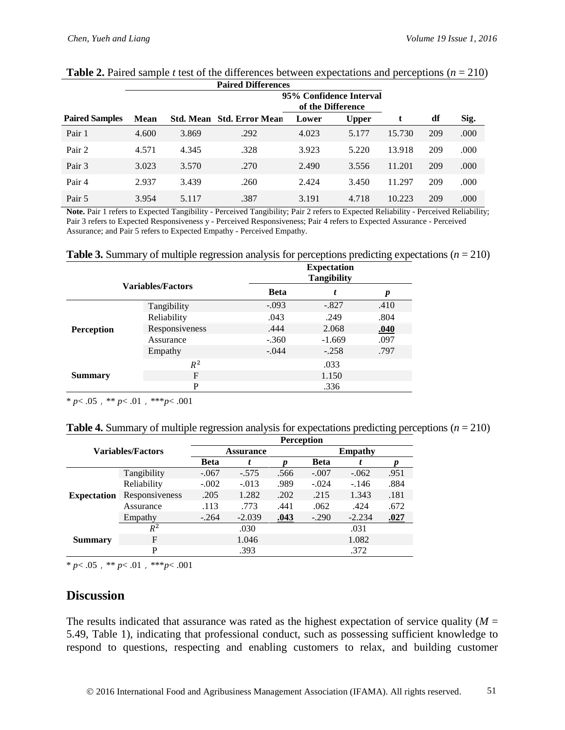|                       |             |       | <b>Paired Differences</b>        |                   |       |        |     |      |
|-----------------------|-------------|-------|----------------------------------|-------------------|-------|--------|-----|------|
|                       |             |       | 95% Confidence Interval          |                   |       |        |     |      |
|                       |             |       |                                  | of the Difference |       |        |     |      |
| <b>Paired Samples</b> | <b>Mean</b> |       | <b>Std. Mean Std. Error Mean</b> | Lower             | Upper | t      | df  | Sig. |
| Pair 1                | 4.600       | 3.869 | .292                             | 4.023             | 5.177 | 15.730 | 209 | .000 |
| Pair 2                | 4.571       | 4.345 | .328                             | 3.923             | 5.220 | 13.918 | 209 | .000 |
| Pair 3                | 3.023       | 3.570 | .270                             | 2.490             | 3.556 | 11.201 | 209 | .000 |
| Pair 4                | 2.937       | 3.439 | .260                             | 2.424             | 3.450 | 11.297 | 209 | .000 |
| Pair 5                | 3.954       | 5.117 | .387                             | 3.191             | 4.718 | 10.223 | 209 | .000 |

### **Table 2.** Paired sample *t* test of the differences between expectations and perceptions ( $n = 210$ )

**Note.** Pair 1 refers to Expected Tangibility - Perceived Tangibility; Pair 2 refers to Expected Reliability - Perceived Reliability; Pair 3 refers to Expected Responsiveness y - Perceived Responsiveness; Pair 4 refers to Expected Assurance - Perceived Assurance; and Pair 5 refers to Expected Empathy - Perceived Empathy.

|  |  |  |  |  |  | <b>Table 3.</b> Summary of multiple regression analysis for perceptions predicting expectations ( $n = 210$ ) |
|--|--|--|--|--|--|---------------------------------------------------------------------------------------------------------------|
|--|--|--|--|--|--|---------------------------------------------------------------------------------------------------------------|

|                   |                          |             | <b>Expectation</b><br><b>Tangibility</b> |                  |
|-------------------|--------------------------|-------------|------------------------------------------|------------------|
|                   | <b>Variables/Factors</b> | <b>Beta</b> | t                                        | $\boldsymbol{p}$ |
|                   | Tangibility              | $-.093$     | $-.827$                                  | .410             |
| <b>Perception</b> | Reliability              | .043        | .249                                     | .804             |
|                   | Responsiveness           | .444        | 2.068                                    | .040             |
|                   | Assurance                | $-.360$     | $-1.669$                                 | .097             |
|                   | Empathy                  | $-.044$     | $-.258$                                  | .797             |
| <b>Summary</b>    | $R^2$                    |             | .033                                     |                  |
|                   | F                        |             | 1.150                                    |                  |
|                   | P                        |             | .336                                     |                  |

 $* p< .05$  ,  $* p< .01$  ,  $* * p< .001$ 

| <b>Table 4.</b> Summary of multiple regression analysis for expectations predicting perceptions ( $n = 210$ ) |  |  |  |  |  |  |  |
|---------------------------------------------------------------------------------------------------------------|--|--|--|--|--|--|--|
|---------------------------------------------------------------------------------------------------------------|--|--|--|--|--|--|--|

|                          |                | <b>Perception</b> |                  |      |             |          |      |  |
|--------------------------|----------------|-------------------|------------------|------|-------------|----------|------|--|
| <b>Variables/Factors</b> |                |                   | <b>Assurance</b> |      |             | Empathy  |      |  |
|                          |                | <b>Beta</b>       |                  |      | <b>Beta</b> |          |      |  |
|                          | Tangibility    | $-.067$           | $-.575$          | .566 | $-.007$     | $-.062$  | .951 |  |
| <b>Expectation</b>       | Reliability    | $-.002$           | $-.013$          | .989 | $-.024$     | $-.146$  | .884 |  |
|                          | Responsiveness | .205              | 1.282            | .202 | .215        | 1.343    | .181 |  |
|                          | Assurance      | .113              | .773             | .441 | .062        | .424     | .672 |  |
|                          | Empathy        | $-.264$           | $-2.039$         | .043 | $-.290$     | $-2.234$ | .027 |  |
| <b>Summary</b>           | $R^2$          |                   | .030             |      |             | .031     |      |  |
|                          | F              | 1.046             |                  |      | 1.082       |          |      |  |
|                          | P              |                   | .393             |      |             | .372     |      |  |

 $* p < .05$ ,  $* p < .01$ ,  $* * p < .001$ 

### **Discussion**

The results indicated that assurance was rated as the highest expectation of service quality  $(M =$ 5.49, Table 1), indicating that professional conduct, such as possessing sufficient knowledge to respond to questions, respecting and enabling customers to relax, and building customer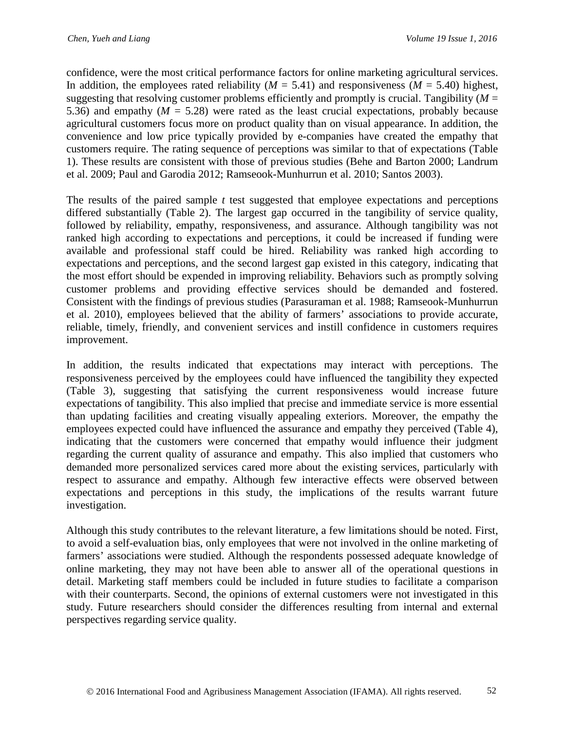confidence, were the most critical performance factors for online marketing agricultural services. In addition, the employees rated reliability ( $M = 5.41$ ) and responsiveness ( $M = 5.40$ ) highest, suggesting that resolving customer problems efficiently and promptly is crucial. Tangibility  $(M =$ 5.36) and empathy  $(M = 5.28)$  were rated as the least crucial expectations, probably because agricultural customers focus more on product quality than on visual appearance. In addition, the convenience and low price typically provided by e-companies have created the empathy that customers require. The rating sequence of perceptions was similar to that of expectations (Table 1). These results are consistent with those of previous studies (Behe and Barton 2000; Landrum et al. 2009; Paul and Garodia 2012; Ramseook-Munhurrun et al. 2010; Santos 2003).

The results of the paired sample *t* test suggested that employee expectations and perceptions differed substantially (Table 2). The largest gap occurred in the tangibility of service quality, followed by reliability, empathy, responsiveness, and assurance. Although tangibility was not ranked high according to expectations and perceptions, it could be increased if funding were available and professional staff could be hired. Reliability was ranked high according to expectations and perceptions, and the second largest gap existed in this category, indicating that the most effort should be expended in improving reliability. Behaviors such as promptly solving customer problems and providing effective services should be demanded and fostered. Consistent with the findings of previous studies (Parasuraman et al. 1988; Ramseook-Munhurrun et al. 2010), employees believed that the ability of farmers' associations to provide accurate, reliable, timely, friendly, and convenient services and instill confidence in customers requires improvement.

In addition, the results indicated that expectations may interact with perceptions. The responsiveness perceived by the employees could have influenced the tangibility they expected (Table 3), suggesting that satisfying the current responsiveness would increase future expectations of tangibility. This also implied that precise and immediate service is more essential than updating facilities and creating visually appealing exteriors. Moreover, the empathy the employees expected could have influenced the assurance and empathy they perceived (Table 4), indicating that the customers were concerned that empathy would influence their judgment regarding the current quality of assurance and empathy. This also implied that customers who demanded more personalized services cared more about the existing services, particularly with respect to assurance and empathy. Although few interactive effects were observed between expectations and perceptions in this study, the implications of the results warrant future investigation.

Although this study contributes to the relevant literature, a few limitations should be noted. First, to avoid a self-evaluation bias, only employees that were not involved in the online marketing of farmers' associations were studied. Although the respondents possessed adequate knowledge of online marketing, they may not have been able to answer all of the operational questions in detail. Marketing staff members could be included in future studies to facilitate a comparison with their counterparts. Second, the opinions of external customers were not investigated in this study. Future researchers should consider the differences resulting from internal and external perspectives regarding service quality.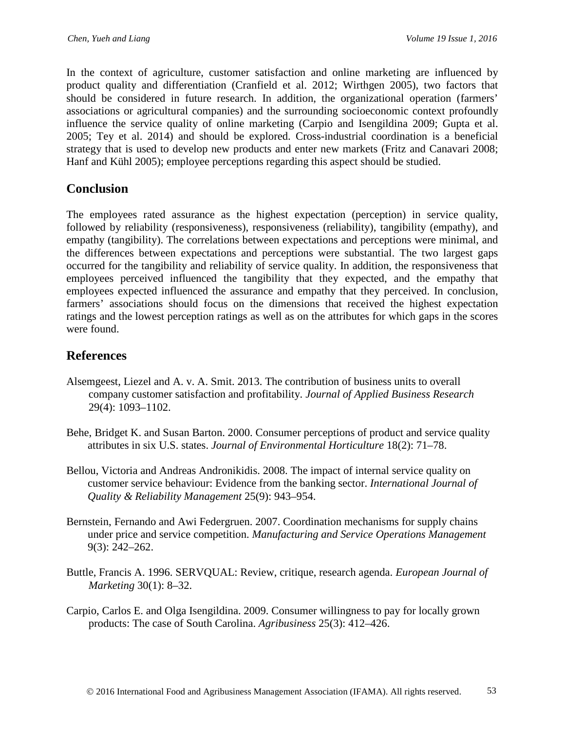In the context of agriculture, customer satisfaction and online marketing are influenced by product quality and differentiation (Cranfield et al. 2012; Wirthgen 2005), two factors that should be considered in future research. In addition, the organizational operation (farmers' associations or agricultural companies) and the surrounding socioeconomic context profoundly influence the service quality of online marketing (Carpio and Isengildina 2009; Gupta et al. 2005; Tey et al. 2014) and should be explored. Cross-industrial coordination is a beneficial strategy that is used to develop new products and enter new markets (Fritz and Canavari 2008; Hanf and Kühl 2005); employee perceptions regarding this aspect should be studied.

### **Conclusion**

The employees rated assurance as the highest expectation (perception) in service quality, followed by reliability (responsiveness), responsiveness (reliability), tangibility (empathy), and empathy (tangibility). The correlations between expectations and perceptions were minimal, and the differences between expectations and perceptions were substantial. The two largest gaps occurred for the tangibility and reliability of service quality. In addition, the responsiveness that employees perceived influenced the tangibility that they expected, and the empathy that employees expected influenced the assurance and empathy that they perceived. In conclusion, farmers' associations should focus on the dimensions that received the highest expectation ratings and the lowest perception ratings as well as on the attributes for which gaps in the scores were found.

## **References**

- Alsemgeest, Liezel and A. v. A. Smit. 2013. The contribution of business units to overall company customer satisfaction and profitability. *Journal of Applied Business Research* 29(4): 1093–1102.
- Behe, Bridget K. and Susan Barton. 2000. Consumer perceptions of product and service quality attributes in six U.S. states. *Journal of Environmental Horticulture* 18(2): 71–78.
- Bellou, Victoria and Andreas Andronikidis. 2008. The impact of internal service quality on customer service behaviour: Evidence from the banking sector. *International Journal of Quality & Reliability Management* 25(9): 943–954.
- Bernstein, Fernando and Awi Federgruen. 2007. Coordination mechanisms for supply chains under price and service competition. *Manufacturing and Service Operations Management* 9(3): 242–262.
- Buttle, Francis A. 1996. SERVQUAL: Review, critique, research agenda. *European Journal of Marketing* 30(1): 8–32.
- Carpio, Carlos E. and Olga Isengildina. 2009. Consumer willingness to pay for locally grown products: The case of South Carolina. *Agribusiness* 25(3): 412–426.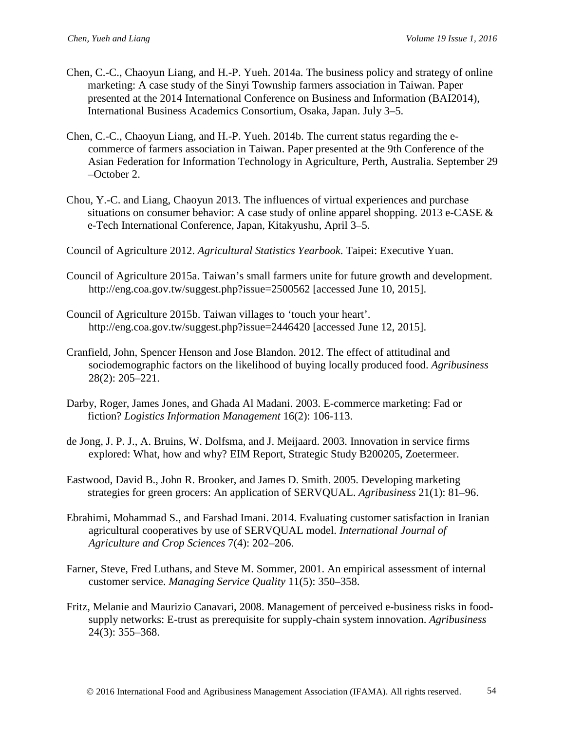- Chen, C.-C., Chaoyun Liang, and H.-P. Yueh. 2014a. The business policy and strategy of online marketing: A case study of the Sinyi Township farmers association in Taiwan. Paper presented at the 2014 International Conference on Business and Information (BAI2014), International Business Academics Consortium, Osaka, Japan. July 3–5.
- Chen, C.-C., Chaoyun Liang, and H.-P. Yueh. 2014b. The current status regarding the ecommerce of farmers association in Taiwan. Paper presented at the 9th Conference of the Asian Federation for Information Technology in Agriculture, Perth, Australia. September 29 –October 2.
- Chou, Y.-C. and Liang, Chaoyun 2013. The influences of virtual experiences and purchase situations on consumer behavior: A case study of online apparel shopping. 2013 e-CASE & e-Tech International Conference, Japan, Kitakyushu, April 3–5.
- Council of Agriculture 2012. *Agricultural Statistics Yearbook*. Taipei: Executive Yuan.
- Council of Agriculture 2015a. Taiwan's small farmers unite for future growth and development. http://eng.coa.gov.tw/suggest.php?issue=2500562 [accessed June 10, 2015].
- Council of Agriculture 2015b. Taiwan villages to 'touch your heart'. http://eng.coa.gov.tw/suggest.php?issue=2446420 [accessed June 12, 2015].
- Cranfield, John, Spencer Henson and Jose Blandon. 2012. The effect of attitudinal and sociodemographic factors on the likelihood of buying locally produced food. *Agribusiness* 28(2): 205–221.
- Darby, Roger, James Jones, and Ghada Al Madani. 2003. E-commerce marketing: Fad or fiction? *Logistics Information Management* 16(2): 106-113.
- de Jong, J. P. J., A. Bruins, W. Dolfsma, and J. Meijaard. 2003. Innovation in service firms explored: What, how and why? EIM Report, Strategic Study B200205, Zoetermeer.
- Eastwood, David B., John R. Brooker, and James D. Smith. 2005. Developing marketing strategies for green grocers: An application of SERVQUAL. *Agribusiness* 21(1): 81–96.
- Ebrahimi, Mohammad S., and Farshad Imani. 2014. Evaluating customer satisfaction in Iranian agricultural cooperatives by use of SERVQUAL model. *International Journal of Agriculture and Crop Sciences* 7(4): 202–206.
- Farner, Steve, Fred Luthans, and Steve M. Sommer, 2001. An empirical assessment of internal customer service. *Managing Service Quality* 11(5): 350–358.
- Fritz, Melanie and Maurizio Canavari, 2008. Management of perceived e-business risks in foodsupply networks: E-trust as prerequisite for supply-chain system innovation. *Agribusiness* 24(3): 355–368.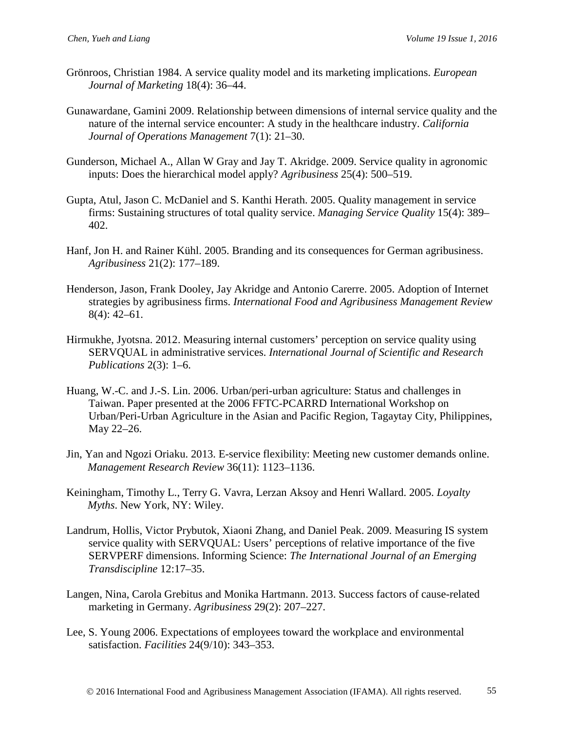- Grönroos, Christian 1984. A service quality model and its marketing implications. *European Journal of Marketing* 18(4): 36–44.
- Gunawardane, Gamini 2009. Relationship between dimensions of internal service quality and the nature of the internal service encounter: A study in the healthcare industry. *California Journal of Operations Management* 7(1): 21–30.
- Gunderson, Michael A., Allan W Gray and Jay T. Akridge. 2009. Service quality in agronomic inputs: Does the hierarchical model apply? *Agribusiness* 25(4): 500–519.
- Gupta, Atul, Jason C. McDaniel and S. Kanthi Herath. 2005. Quality management in service firms: Sustaining structures of total quality service. *Managing Service Quality* 15(4): 389– 402.
- Hanf, Jon H. and Rainer Kühl. 2005. Branding and its consequences for German agribusiness. *Agribusiness* 21(2): 177–189.
- Henderson, Jason, Frank Dooley, Jay Akridge and Antonio Carerre. 2005. Adoption of Internet strategies by agribusiness firms. *International Food and Agribusiness Management Review* 8(4): 42–61.
- Hirmukhe, Jyotsna. 2012. Measuring internal customers' perception on service quality using SERVQUAL in administrative services. *International Journal of Scientific and Research Publications* 2(3): 1–6.
- Huang, W.-C. and J.-S. Lin. 2006. Urban/peri-urban agriculture: Status and challenges in Taiwan. Paper presented at the 2006 FFTC-PCARRD International Workshop on Urban/Peri-Urban Agriculture in the Asian and Pacific Region, Tagaytay City, Philippines, May 22–26.
- Jin, Yan and Ngozi Oriaku. 2013. E-service flexibility: Meeting new customer demands online. *Management Research Review* 36(11): 1123–1136.
- Keiningham, Timothy L., Terry G. Vavra, Lerzan Aksoy and Henri [Wallard.](http://www.amazon.com/s/ref=dp_byline_sr_book_4?ie=UTF8&text=Henri+Wallard&search-alias=books&field-author=Henri+Wallard&sort=relevancerank) 2005. *Loyalty Myths*. New York, NY: Wiley.
- Landrum, Hollis, Victor Prybutok, Xiaoni Zhang, and Daniel Peak. 2009. Measuring IS system service quality with SERVQUAL: Users' perceptions of relative importance of the five SERVPERF dimensions. Informing Science: *The International Journal of an Emerging Transdiscipline* 12:17–35.
- Langen, Nina, Carola Grebitus and Monika Hartmann. 2013. Success factors of cause-related marketing in Germany. *Agribusiness* 29(2): 207–227.
- Lee, S. Young 2006. Expectations of employees toward the workplace and environmental satisfaction. *Facilities* 24(9/10): 343–353.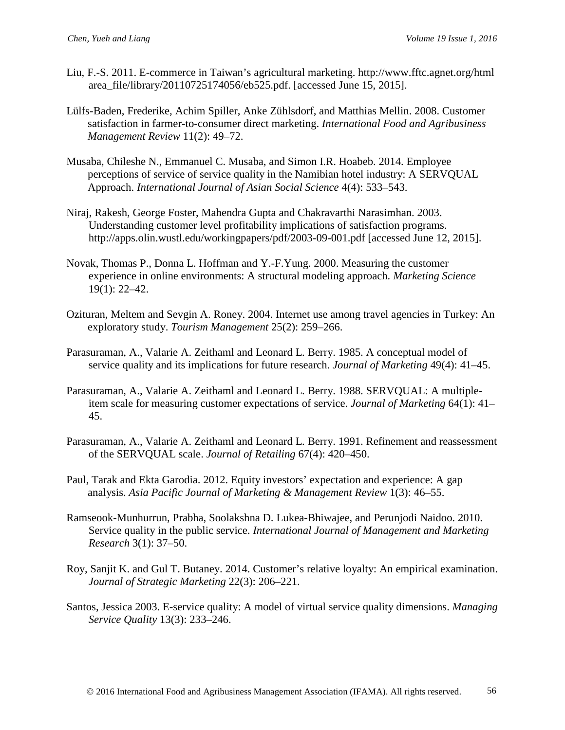- Liu, F.-S. 2011. E-commerce in Taiwan's agricultural marketing. http://www.fftc.agnet.org/html area\_file/library/20110725174056/eb525.pdf. [accessed June 15, 2015].
- Lülfs-Baden, Frederike, Achim Spiller, Anke Zühlsdorf, and Matthias Mellin. 2008. Customer satisfaction in farmer-to-consumer direct marketing. *International Food and Agribusiness Management Review* 11(2): 49–72.
- Musaba, Chileshe N., Emmanuel C. Musaba, and Simon I.R. Hoabeb. 2014. Employee perceptions of service of service quality in the Namibian hotel industry: A SERVQUAL Approach. *International Journal of Asian Social Science* 4(4): 533–543.
- Niraj, Rakesh, George Foster, Mahendra Gupta and Chakravarthi Narasimhan. 2003. Understanding customer level profitability implications of satisfaction programs. http://apps.olin.wustl.edu/workingpapers/pdf/2003-09-001.pdf [accessed June 12, 2015].
- Novak, Thomas P., Donna L. Hoffman and Y.-F.Yung. 2000. Measuring the customer experience in online environments: A structural modeling approach. *Marketing Science* 19(1): 22–42.
- Ozituran, Meltem and Sevgin A. Roney. 2004. Internet use among travel agencies in Turkey: An exploratory study. *Tourism Management* 25(2): 259–266.
- Parasuraman, A., Valarie A. Zeithaml and Leonard L. Berry. 1985. A conceptual model of service quality and its implications for future research. *Journal of Marketing* 49(4): 41–45.
- Parasuraman, A., Valarie A. Zeithaml and Leonard L. Berry. 1988. SERVQUAL: A multipleitem scale for measuring customer expectations of service. *Journal of Marketing* 64(1): 41– 45.
- Parasuraman, A., Valarie A. Zeithaml and Leonard L. Berry. 1991. Refinement and reassessment of the SERVQUAL scale. *Journal of Retailing* 67(4): 420–450.
- Paul, Tarak and Ekta Garodia. 2012. Equity investors' expectation and experience: A gap analysis. *Asia Pacific Journal of Marketing & Management Review* 1(3): 46–55.
- Ramseook-Munhurrun, Prabha, Soolakshna D. Lukea-Bhiwajee, and Perunjodi Naidoo. 2010. Service quality in the public service. *International Journal of Management and Marketing Research* 3(1): 37–50.
- Roy, Sanjit K. and Gul T. Butaney. 2014. Customer's relative loyalty: An empirical examination. *Journal of Strategic Marketing* 22(3): 206–221.
- Santos, Jessica 2003. E-service quality: A model of virtual service quality dimensions. *Managing Service Quality* 13(3): 233–246.